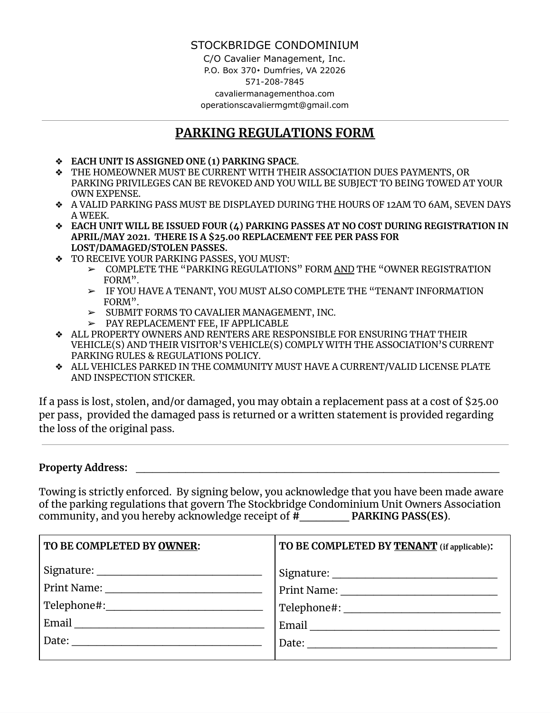### STOCKBRIDGE CONDOMINIUM

C/O Cavalier Management, Inc. P.O. Box 370⬩ Dumfries, VA 22026 571-208-7845 cavaliermanagementhoa.com operationscavaliermgmt@gmail.com

## **PARKING REGULATIONS FORM**

- ❖ **EACH UNIT IS ASSIGNED ONE (1) PARKING SPACE**.
- ❖ THE HOMEOWNER MUST BE CURRENT WITH THEIR ASSOCIATION DUES PAYMENTS, OR PARKING PRIVILEGES CAN BE REVOKED AND YOU WILL BE SUBJECT TO BEING TOWED AT YOUR OWN EXPENSE.
- ❖ A VALID PARKING PASS MUST BE DISPLAYED DURING THE HOURS OF 12AM TO 6AM, SEVEN DAYS A WEEK.
- ❖ **EACH UNIT WILL BE ISSUED FOUR (4) PARKING PASSES AT NO COST DURING REGISTRATION IN APRIL/MAY 2021. THERE IS A \$25.00 REPLACEMENT FEE PER PASS FOR LOST/DAMAGED/STOLEN PASSES.**
- ❖ TO RECEIVE YOUR PARKING PASSES, YOU MUST:
	- ➢ COMPLETE THE "PARKING REGULATIONS" FORM AND THE "OWNER REGISTRATION FORM".
	- ➢ IF YOU HAVE A TENANT, YOU MUST ALSO COMPLETE THE "TENANT INFORMATION FORM".
	- ➢ SUBMIT FORMS TO CAVALIER MANAGEMENT, INC.
	- ➢ PAY REPLACEMENT FEE, IF APPLICABLE
- ❖ ALL PROPERTY OWNERS AND RENTERS ARE RESPONSIBLE FOR ENSURING THAT THEIR VEHICLE(S) AND THEIR VISITOR'S VEHICLE(S) COMPLY WITH THE ASSOCIATION'S CURRENT PARKING RULES & REGULATIONS POLICY.
- ❖ ALL VEHICLES PARKED IN THE COMMUNITY MUST HAVE A CURRENT/VALID LICENSE PLATE AND INSPECTION STICKER.

If a pass is lost, stolen, and/or damaged, you may obtain a replacement pass at a cost of \$25.00 per pass, provided the damaged pass is returned or a written statement is provided regarding the loss of the original pass.

### **Property Address:** \_\_\_\_\_\_\_\_\_\_\_\_\_\_\_\_\_\_\_\_\_\_\_\_\_\_\_\_\_\_\_\_\_\_\_\_\_\_\_\_\_\_\_\_

Towing is strictly enforced. By signing below, you acknowledge that you have been made aware of the parking regulations that govern The Stockbridge Condominium Unit Owners Association community, and you hereby acknowledge receipt of **#\_\_\_\_\_\_ PARKING PASS(ES)**.

| TO BE COMPLETED BY OWNER: | TO BE COMPLETED BY TENANT (if applicable): |
|---------------------------|--------------------------------------------|
|                           |                                            |
|                           |                                            |
|                           |                                            |
| Email                     |                                            |
| Date:                     |                                            |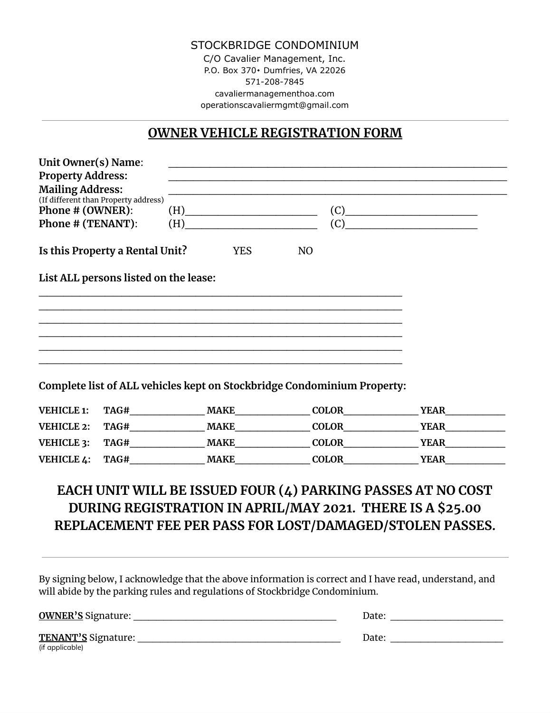#### STOCKBRIDGE CONDOMINIUM C/O Cavalier Management, Inc. P.O. Box 370⬩ Dumfries, VA 22026 571-208-7845 cavaliermanagementhoa.com operationscavaliermgmt@gmail.com

# **OWNER VEHICLE REGISTRATION FORM**

| <b>Property Address:</b><br><b>Mailing Address:</b><br>(If different than Property address)<br>Phone # (OWNER): |                                                                                                                                                                                                                                                       |                      |                                                             |  |  |
|-----------------------------------------------------------------------------------------------------------------|-------------------------------------------------------------------------------------------------------------------------------------------------------------------------------------------------------------------------------------------------------|----------------------|-------------------------------------------------------------|--|--|
|                                                                                                                 |                                                                                                                                                                                                                                                       |                      |                                                             |  |  |
|                                                                                                                 |                                                                                                                                                                                                                                                       |                      |                                                             |  |  |
|                                                                                                                 | $(H)$ and $(H)$ and $(H)$ and $(H)$ and $(H)$ and $(H)$ and $(H)$ and $(H)$ and $(H)$ and $(H)$ and $(H)$ and $(H)$ and $(H)$ and $(H)$ and $(H)$ and $(H)$ and $(H)$ and $(H)$ and $(H)$ and $(H)$ and $(H)$ and $(H)$ and $(H)$ and $(H)$ and $(H)$ |                      | (C)                                                         |  |  |
| Phone # (TENANT):                                                                                               | (C)<br>(H)                                                                                                                                                                                                                                            |                      |                                                             |  |  |
| Is this Property a Rental Unit?                                                                                 | <b>YES</b>                                                                                                                                                                                                                                            | N <sub>O</sub>       |                                                             |  |  |
| List ALL persons listed on the lease:                                                                           |                                                                                                                                                                                                                                                       |                      |                                                             |  |  |
|                                                                                                                 |                                                                                                                                                                                                                                                       |                      |                                                             |  |  |
|                                                                                                                 |                                                                                                                                                                                                                                                       |                      |                                                             |  |  |
|                                                                                                                 |                                                                                                                                                                                                                                                       |                      |                                                             |  |  |
|                                                                                                                 |                                                                                                                                                                                                                                                       |                      |                                                             |  |  |
|                                                                                                                 |                                                                                                                                                                                                                                                       |                      |                                                             |  |  |
| Complete list of ALL vehicles kept on Stockbridge Condominium Property:                                         |                                                                                                                                                                                                                                                       |                      |                                                             |  |  |
| VEHICLE 1:                                                                                                      |                                                                                                                                                                                                                                                       |                      | TAG# MAKE COLOR YEAR YEAR                                   |  |  |
| <b>VEHICLE 2:</b>                                                                                               |                                                                                                                                                                                                                                                       |                      |                                                             |  |  |
| VEHICLE 3:                                                                                                      |                                                                                                                                                                                                                                                       |                      |                                                             |  |  |
| VEHICLE 4:                                                                                                      |                                                                                                                                                                                                                                                       | TAG# MAKE COLOR YEAR |                                                             |  |  |
|                                                                                                                 |                                                                                                                                                                                                                                                       |                      |                                                             |  |  |
|                                                                                                                 |                                                                                                                                                                                                                                                       |                      | EACH UNIT WILL BE ISSUED FOUR (4) PARKING PASSES AT NO COST |  |  |
|                                                                                                                 |                                                                                                                                                                                                                                                       |                      |                                                             |  |  |
|                                                                                                                 |                                                                                                                                                                                                                                                       |                      |                                                             |  |  |
| DURING REGISTRATION IN APRIL/MAY 2021. THERE IS A \$25.00                                                       |                                                                                                                                                                                                                                                       |                      | REPLACEMENT FEE PER PASS FOR LOST/DAMAGED/STOLEN PASSES.    |  |  |

| <b>OWNER'S Signature:</b>              | Date: |
|----------------------------------------|-------|
| TENANT'S Signature:<br>(if applicable) | Date: |

By signing below, I acknowledge that the above information is correct and I have read, understand, and

will abide by the parking rules and regulations of Stockbridge Condominium.